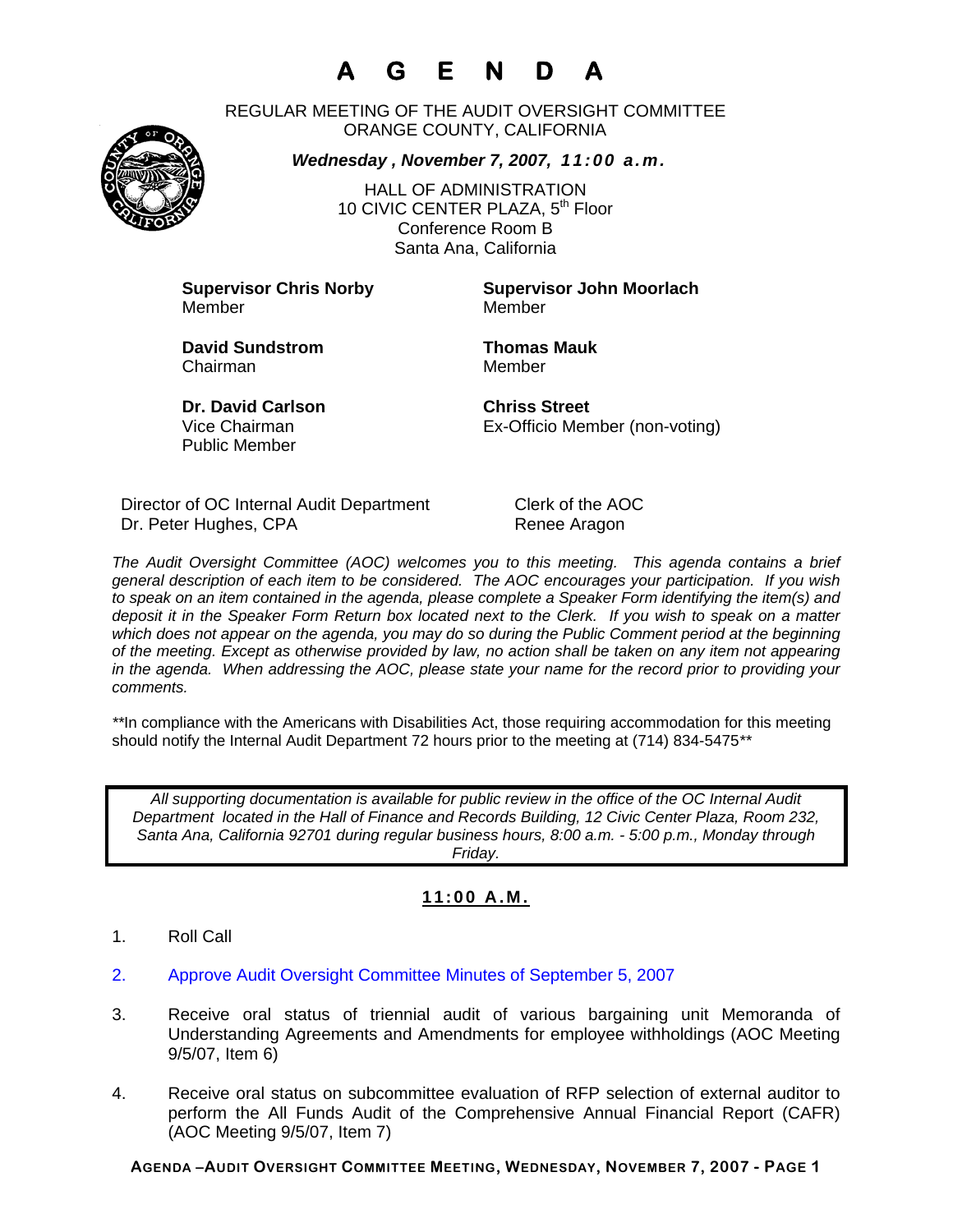# **A G E N D A**

REGULAR MEETING OF THE AUDIT OVERSIGHT COMMITTEE ORANGE COUNTY, CALIFORNIA

*Wednesday , November 7, 2007, 11:00 a.m.*

HALL OF ADMINISTRATION 10 CIVIC CENTER PLAZA, 5<sup>th</sup> Floor Conference Room B Santa Ana, California

Member Member

**Supervisor Chris Norby Supervisor John Moorlach**

**David Sundstrom Thomas Mauk**  Chairman Member

**Dr. David Carlson Chriss Street** Public Member

Vice Chairman Ex-Officio Member (non-voting)

Director of OC Internal Audit Department Clerk of the AOC Dr. Peter Hughes, CPA Renee Aragon

*The Audit Oversight Committee (AOC) welcomes you to this meeting. This agenda contains a brief general description of each item to be considered. The AOC encourages your participation. If you wish to speak on an item contained in the agenda, please complete a Speaker Form identifying the item(s) and deposit it in the Speaker Form Return box located next to the Clerk. If you wish to speak on a matter which does not appear on the agenda, you may do so during the Public Comment period at the beginning of the meeting. Except as otherwise provided by law, no action shall be taken on any item not appearing in the agenda. When addressing the AOC, please state your name for the record prior to providing your comments.* 

*\*\**In compliance with the Americans with Disabilities Act, those requiring accommodation for this meeting should notify the Internal Audit Department 72 hours prior to the meeting at (714) 834-5475*\*\** 

*All supporting documentation is available for public review in the office of the OC Internal Audit Department located in the Hall of Finance and Records Building, 12 Civic Center Plaza, Room 232, Santa Ana, California 92701 during regular business hours, 8:00 a.m. - 5:00 p.m., Monday through Friday.* 

### **11:00 A.M.**

- 1. Roll Call
- 2. Approve Audit Oversight Committee Minutes of September 5, 2007
- 3. Receive oral status of triennial audit of various bargaining unit Memoranda of Understanding Agreements and Amendments for employee withholdings (AOC Meeting 9/5/07, Item 6)
- 4. Receive oral status on subcommittee evaluation of RFP selection of external auditor to perform the All Funds Audit of the Comprehensive Annual Financial Report (CAFR) (AOC Meeting 9/5/07, Item 7)